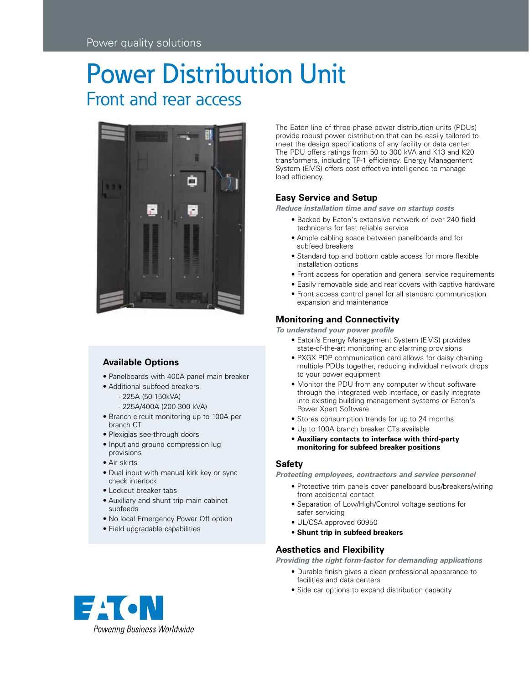# Power Distribution Unit Front and rear access



## **Available Options**

- Panelboards with 400A panel main breaker
- Additional subfeed breakers
	- 225A (50-150kVA)
	- 225A/400A (200-300 kVA)
- Branch circuit monitoring up to 100A per branch CT
- Plexiglas see-through doors
- Input and ground compression lug provisions
- Air skirts
- Dual input with manual kirk key or sync check interlock
- Lockout breaker tabs
- Auxiliary and shunt trip main cabinet subfeeds
- No local Emergency Power Off option
- Field upgradable capabilities

The Eaton line of three-phase power distribution units (PDUs) provide robust power distribution that can be easily tailored to meet the design specifications of any facility or data center. The PDU offers ratings from 50 to 300 kVA and K13 and K20 transformers, including TP-1 efficiency. Energy Management System (EMS) offers cost effective intelligence to manage load efficiency.

# **Easy Service and Setup**

*Reduce installation time and save on startup costs*

- Backed by Eaton's extensive network of over 240 field technicans for fast reliable service
- Ample cabling space between panelboards and for subfeed breakers
- Standard top and bottom cable access for more flexible installation options
- Front access for operation and general service requirements
- Easily removable side and rear covers with captive hardware
- Front access control panel for all standard communication expansion and maintenance

## **Monitoring and Connectivity**

*To understand your power profile*

- Eaton's Energy Management System (EMS) provides state-of-the-art monitoring and alarming provisions
- PXGX PDP communication card allows for daisy chaining multiple PDUs together, reducing individual network drops to your power equipment
- Monitor the PDU from any computer without software through the integrated web interface, or easily integrate into existing building management systems or Eaton's Power Xpert Software
- Stores consumption trends for up to 24 months
- Up to 100A branch breaker CTs available
- **Auxiliary contacts to interface with third-party monitoring for subfeed breaker positions**

## **Safety**

*Protecting employees, contractors and service personnel* 

- Protective trim panels cover panelboard bus/breakers/wiring from accidental contact
- Separation of Low/High/Control voltage sections for safer servicing
- UL/CSA approved 60950
- **Shunt trip in subfeed breakers**

## **Aesthetics and Flexibility**

*Providing the right form-factor for demanding applications*

- Durable finish gives a clean professional appearance to facilities and data centers
- Side car options to expand distribution capacity